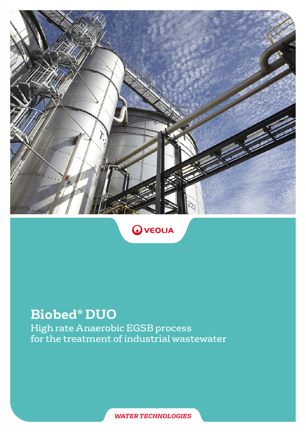



# **Biobed® DUO**

High rate Anaerobic EGSB process for the treatment of industrial wastewater

*WATER TECHNOLOGIES*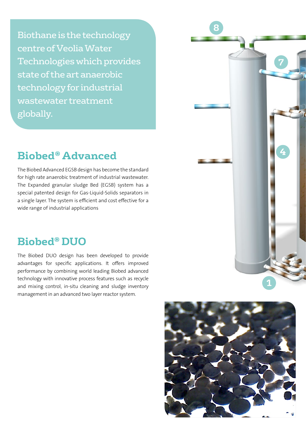Biothane is the technology centre of Veolia Water Technologies which provides state of the art anaerobic technology for industrial wastewater treatment globally.

## **Biobed® Advanced**

The Biobed Advanced EGSB design has become the standard for high rate anaerobic treatment of industrial wastewater. The Expanded granular sludge Bed (EGSB) system has a special patented design for Gas-Liquid-Solids separators in a single layer. The system is efficient and cost effective for a wide range of industrial applications

## **Biobed® DUO**

The Biobed DUO design has been developed to provide advantages for specific applications. It offers improved performance by combining world leading Biobed advanced technology with innovative process features such as recycle and mixing control, in-situ cleaning and sludge inventory management in an advanced two layer reactor system.



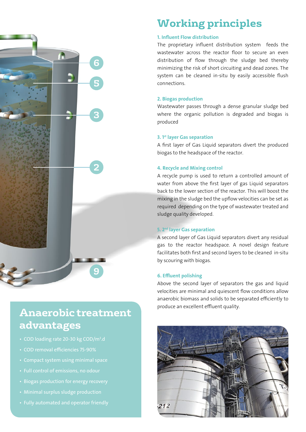# **2 9 6 3 5**

# **Anaerobic treatment advantages**

- COD loading rate 20-30 kg COD/m<sup>3</sup>.d
- 
- 
- 
- Biogas production for energy recovery
- 
- 

# **Working principles**

#### 1. Influent Flow distribution

The proprietary influent distribution system feeds the wastewater across the reactor floor to secure an even distribution of flow through the sludge bed thereby minimizing the risk of short circuiting and dead zones. The system can be cleaned in-situ by easily accessible flush connections.

#### 2. Biogas production

Wastewater passes through a dense granular sludge bed where the organic pollution is degraded and biogas is produced

#### 3. 1st layer Gas separation

A first layer of Gas Liquid separators divert the produced biogas to the headspace of the reactor.

#### 4. Recycle and Mixing control

A recycle pump is used to return a controlled amount of water from above the first layer of gas Liquid separators back to the lower section of the reactor. This will boost the mixing in the sludge bed the upflow velocities can be set as required depending on the type of wastewater treated and sludge quality developed.

#### 5. 2nd layer Gas separation

A second layer of Gas Liquid separators divert any residual gas to the reactor headspace. A novel design feature facilitates both first and second layers to be cleaned in-situ by scouring with biogas.

#### 6. Effluent polishing

Above the second layer of separators the gas and liquid velocities are minimal and quiescent flow conditions allow anaerobic biomass and solids to be separated efficiently to produce an excellent effluent quality.

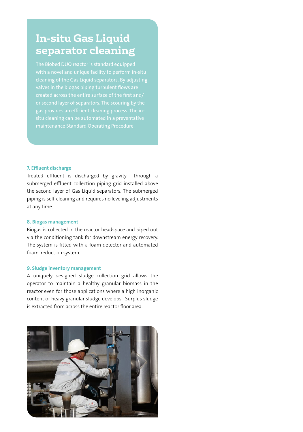# **In-situ Gas Liquid separator cleaning**

The Biobed DUO reactor is standard equipped valves in the biogas piping turbulent flows are gas provides an efficient cleaning process. The in-

#### 7. Effluent discharge

Treated effluent is discharged by gravity through a submerged effluent collection piping grid installed above the second layer of Gas Liquid separators. The submerged piping is self-cleaning and requires no leveling adjustments at any time.

#### 8. Biogas management

Biogas is collected in the reactor headspace and piped out via the conditioning tank for downstream energy recovery. The system is fitted with a foam detector and automated foam reduction system.

#### 9. Sludge inventory management

A uniquely designed sludge collection grid allows the operator to maintain a healthy granular biomass in the reactor even for those applications where a high inorganic content or heavy granular sludge develops. Surplus sludge is extracted from across the entire reactor floor area.

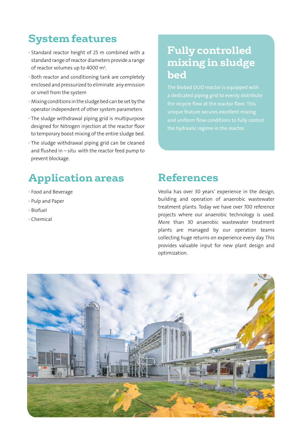# **System features**

- Standard reactor height of 25 m combined with a standard range of reactor diameters provide a range of reactor volumes up to 4000  $\mathsf{m}^{_3}\!.$
- Both reactor and conditioning tank are completely enclosed and pressurized to eliminate any emission or smell from the system
- Mixing conditions in the sludge bed can be set by the operator independent of other system parameters
- The sludge withdrawal piping grid is multipurpose designed for Nitrogen injection at the reactor floor to temporary boost mixing of the entire sludge bed.
- The sludge withdrawal piping grid can be cleaned and flushed in – situ with the reactor feed pump to prevent blockage.

# **Fully controlled mixing in sludge bed**

The Biobed DUO reactor is equipped with a dedicated piping grid to evenly distribute the hydraulic regime in the reactor.

# **Application areas**

- Food and Beverage
- Pulp and Paper
- Biofuel
- Chemical

### **References**

Veolia has over 30 years' experience in the design, building and operation of anaerobic wastewater treatment plants. Today we have over 700 reference projects where our anaerobic technology is used. More than 30 anaerobic wastewater treatment plants are managed by our operation teams collecting huge returns on experience every day. This provides valuable input for new plant design and optimization.